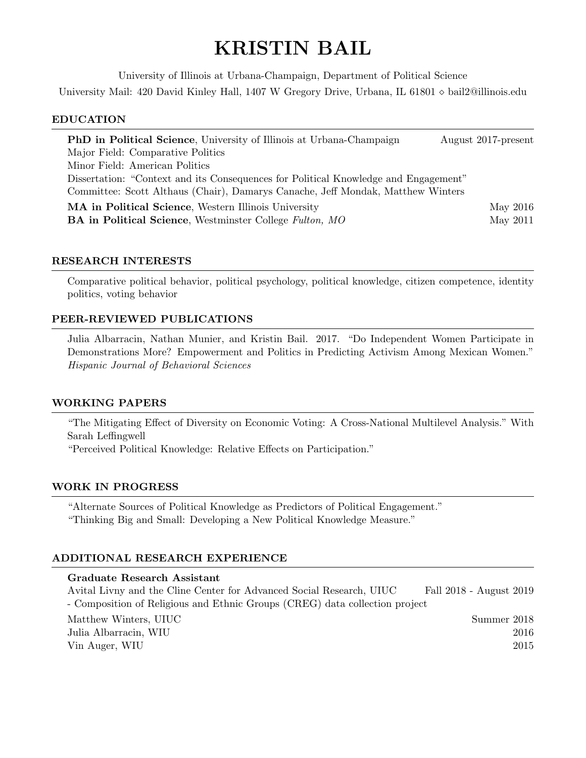# KRISTIN BAIL

University of Illinois at Urbana-Champaign, Department of Political Science University Mail: 420 David Kinley Hall, 1407 W Gregory Drive, Urbana, IL 61801  $\diamond$  bail2@illinois.edu

#### EDUCATION

| <b>PhD</b> in Political Science, University of Illinois at Urbana-Champaign         | August 2017-present |
|-------------------------------------------------------------------------------------|---------------------|
| Major Field: Comparative Politics                                                   |                     |
| Minor Field: American Politics                                                      |                     |
| Dissertation: "Context and its Consequences for Political Knowledge and Engagement" |                     |
| Committee: Scott Althaus (Chair), Damarys Canache, Jeff Mondak, Matthew Winters     |                     |
| <b>MA</b> in Political Science, Western Illinois University                         | May 2016            |
| <b>BA</b> in Political Science, Westminster College Fulton, MO                      | May 2011            |

### RESEARCH INTERESTS

Comparative political behavior, political psychology, political knowledge, citizen competence, identity politics, voting behavior

## PEER-REVIEWED PUBLICATIONS

Julia Albarracin, Nathan Munier, and Kristin Bail. 2017. "Do Independent Women Participate in Demonstrations More? Empowerment and Politics in Predicting Activism Among Mexican Women." Hispanic Journal of Behavioral Sciences

#### WORKING PAPERS

"The Mitigating Effect of Diversity on Economic Voting: A Cross-National Multilevel Analysis." With Sarah Leffingwell

"Perceived Political Knowledge: Relative Effects on Participation."

#### WORK IN PROGRESS

"Alternate Sources of Political Knowledge as Predictors of Political Engagement." "Thinking Big and Small: Developing a New Political Knowledge Measure."

## ADDITIONAL RESEARCH EXPERIENCE

| Graduate Research Assistant                                                 |                         |
|-----------------------------------------------------------------------------|-------------------------|
| Avital Livny and the Cline Center for Advanced Social Research, UIUC        | Fall 2018 - August 2019 |
| - Composition of Religious and Ethnic Groups (CREG) data collection project |                         |
| Matthew Winters, UIUC                                                       | Summer 2018             |
| Julia Albarracin, WIU                                                       | 2016                    |
| Vin Auger, WIU                                                              | 2015                    |
|                                                                             |                         |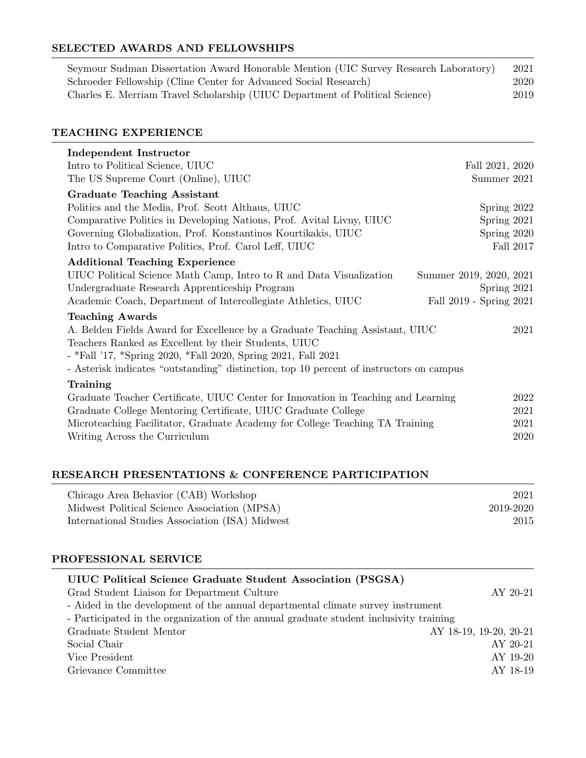# SELECTED AWARDS AND FELLOWSHIPS

| Seymour Sudman Dissertation Award Honorable Mention (UIC Survey Research Laboratory) | 2021 |
|--------------------------------------------------------------------------------------|------|
| Schroeder Fellowship (Cline Center for Advanced Social Research)                     | 2020 |
| Charles E. Merriam Travel Scholarship (UIUC Department of Political Science)         | 2019 |

# TEACHING EXPERIENCE

| Independent Instructor                                                                  |                         |
|-----------------------------------------------------------------------------------------|-------------------------|
| Intro to Political Science, UIUC                                                        | Fall 2021, 2020         |
| The US Supreme Court (Online), UIUC                                                     | Summer 2021             |
| <b>Graduate Teaching Assistant</b>                                                      |                         |
| Politics and the Media, Prof. Scott Althaus, UIUC                                       | Spring 2022             |
| Comparative Politics in Developing Nations, Prof. Avital Livny, UIUC                    | Spring 2021             |
| Governing Globalization, Prof. Konstantinos Kourtikakis, UIUC                           | Spring 2020             |
| Intro to Comparative Politics, Prof. Carol Leff, UIUC                                   | Fall 2017               |
| <b>Additional Teaching Experience</b>                                                   |                         |
| UIUC Political Science Math Camp, Intro to R and Data Visualization                     | Summer 2019, 2020, 2021 |
| Undergraduate Research Apprenticeship Program                                           | Spring 2021             |
| Academic Coach, Department of Intercollegiate Athletics, UIUC                           | Fall 2019 - Spring 2021 |
| <b>Teaching Awards</b>                                                                  |                         |
| A. Belden Fields Award for Excellence by a Graduate Teaching Assistant, UIUC            | 2021                    |
| Teachers Ranked as Excellent by their Students, UIUC                                    |                         |
| - *Fall '17, *Spring 2020, *Fall 2020, Spring 2021, Fall 2021                           |                         |
| - Asterisk indicates "outstanding" distinction, top 10 percent of instructors on campus |                         |
| Training                                                                                |                         |
| Graduate Teacher Certificate, UIUC Center for Innovation in Teaching and Learning       | 2022                    |
| Graduate College Mentoring Certificate, UIUC Graduate College                           | 2021                    |
| Microteaching Facilitator, Graduate Academy for College Teaching TA Training            | 2021                    |
| Writing Across the Curriculum                                                           | 2020                    |
|                                                                                         |                         |

# RESEARCH PRESENTATIONS & CONFERENCE PARTICIPATION

| Chicago Area Behavior (CAB) Workshop            | 2021      |
|-------------------------------------------------|-----------|
| Midwest Political Science Association (MPSA)    | 2019-2020 |
| International Studies Association (ISA) Midwest | 2015      |

## PROFESSIONAL SERVICE

| UIUC Political Science Graduate Student Association (PSGSA)                            |                        |
|----------------------------------------------------------------------------------------|------------------------|
| Grad Student Liaison for Department Culture                                            | AY 20-21               |
| - Aided in the development of the annual departmental climate survey instrument        |                        |
| - Participated in the organization of the annual graduate student inclusivity training |                        |
| Graduate Student Mentor                                                                | AY 18-19, 19-20, 20-21 |
| Social Chair                                                                           | AY 20-21               |
| Vice President                                                                         | AY 19-20               |
| Grievance Committee                                                                    | AY 18-19               |